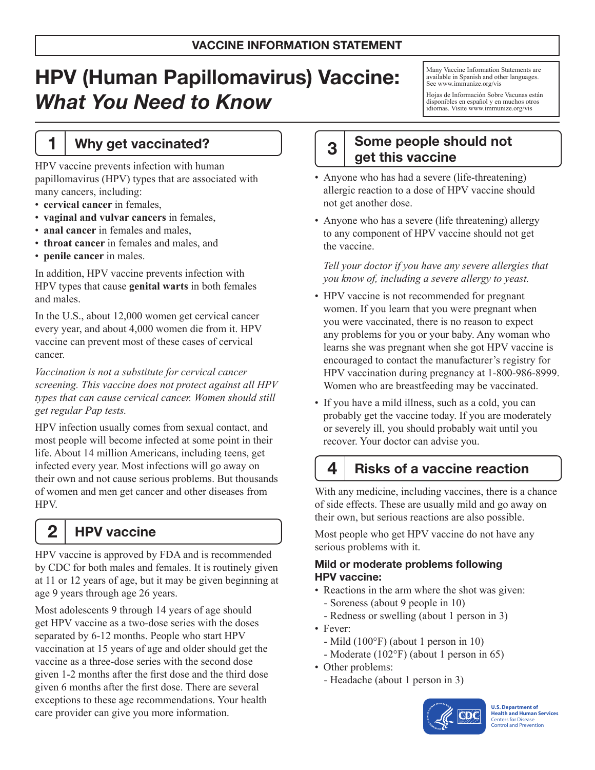# HPV (Human Papillomavirus) Vaccine: *What You Need to Know*

#### 1 | Why get vaccinated?

HPV vaccine prevents infection with human papillomavirus (HPV) types that are associated with many cancers, including:

- • **cervical cancer** in females,
- • **vaginal and vulvar cancers** in females,
- **anal cancer** in females and males,
- • **throat cancer** in females and males, and
- • **penile cancer** in males.

In addition, HPV vaccine prevents infection with HPV types that cause **genital warts** in both females and males.

In the U.S., about 12,000 women get cervical cancer every year, and about 4,000 women die from it. HPV vaccine can prevent most of these cases of cervical cancer.

*Vaccination is not a substitute for cervical cancer screening. This vaccine does not protect against all HPV types that can cause cervical cancer. Women should still get regular Pap tests.*

HPV infection usually comes from sexual contact, and most people will become infected at some point in their life. About 14 million Americans, including teens, get infected every year. Most infections will go away on their own and not cause serious problems. But thousands of women and men get cancer and other diseases from HPV.

2 | HPV vaccine

HPV vaccine is approved by FDA and is recommended by CDC for both males and females. It is routinely given at 11 or 12 years of age, but it may be given beginning at age 9 years through age 26 years.

Most adolescents 9 through 14 years of age should get HPV vaccine as a two-dose series with the doses separated by 6-12 months. People who start HPV vaccination at 15 years of age and older should get the vaccine as a three-dose series with the second dose given 1-2 months after the first dose and the third dose given 6 months after the first dose. There are several exceptions to these age recommendations. Your health care provider can give you more information.

Many Vaccine Information Statements are available in Spanish and other languages. See [www.immunize.org/vis](http://www.immunize.org/vis)

Hojas de Información Sobre Vacunas están disponibles en español y en muchos otros idiomas. Visite [www.immunize.org/vis](http://www.immunize.org/vis)

### 3 Some people should not get this vaccine

- Anyone who has had a severe (life-threatening) allergic reaction to a dose of HPV vaccine should not get another dose.
- Anyone who has a severe (life threatening) allergy to any component of HPV vaccine should not get the vaccine.

*Tell your doctor if you have any severe allergies that you know of, including a severe allergy to yeast.*

- HPV vaccine is not recommended for pregnant women. If you learn that you were pregnant when you were vaccinated, there is no reason to expect any problems for you or your baby. Any woman who learns she was pregnant when she got HPV vaccine is encouraged to contact the manufacturer's registry for HPV vaccination during pregnancy at 1-800-986-8999. Women who are breastfeeding may be vaccinated.
- If you have a mild illness, such as a cold, you can probably get the vaccine today. If you are moderately or severely ill, you should probably wait until you recover. Your doctor can advise you.

#### $4<sup>1</sup>$  Risks of a vaccine reaction

With any medicine, including vaccines, there is a chance of side effects. These are usually mild and go away on their own, but serious reactions are also possible.

Most people who get HPV vaccine do not have any serious problems with it.

#### Mild or moderate problems following HPV vaccine:

- Reactions in the arm where the shot was given:
	- Soreness (about 9 people in 10)
	- Redness or swelling (about 1 person in 3)
- Fever:
	- Mild (100°F) (about 1 person in 10)
- Moderate (102°F) (about 1 person in 65)
- Other problems:
	- Headache (about 1 person in 3)



**U.S. Department of Health and Human Services**  Centers for Disease Control and Prevention